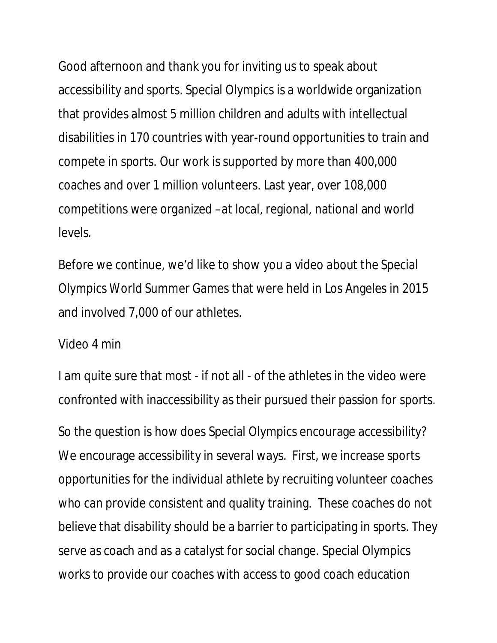Good afternoon and thank you for inviting us to speak about accessibility and sports. Special Olympics is a worldwide organization that provides almost 5 million children and adults with intellectual disabilities in 170 countries with year-round opportunities to train and compete in sports. Our work is supported by more than 400,000 coaches and over 1 million volunteers. Last year, over 108,000 competitions were organized –at local, regional, national and world levels.

Before we continue, we'd like to show you a video about the Special Olympics World Summer Games that were held in Los Angeles in 2015 and involved 7,000 of our athletes.

## Video 4 min

I am quite sure that most - if not all - of the athletes in the video were confronted with inaccessibility as their pursued their passion for sports.

So the question is how does Special Olympics encourage accessibility? We encourage accessibility in several ways. First, we increase sports opportunities for the individual athlete by recruiting volunteer coaches who can provide consistent and quality training. These coaches do not believe that disability should be a barrier to participating in sports. They serve as coach and as a catalyst for social change. Special Olympics works to provide our coaches with access to good coach education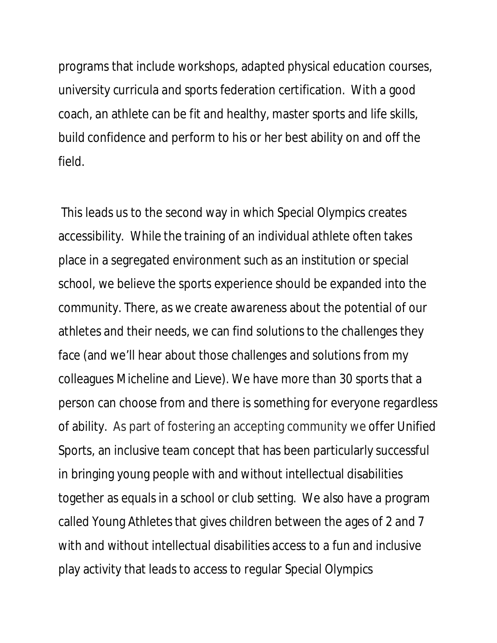programs that include workshops, adapted physical education courses, university curricula and sports federation certification. With a good coach, an athlete can be fit and healthy, master sports and life skills, build confidence and perform to his or her best ability on and off the field.

 This leads us to the second way in which Special Olympics creates accessibility. While the training of an individual athlete often takes place in a segregated environment such as an institution or special school, we believe the sports experience should be expanded into the community. There, as we create awareness about the potential of our athletes and their needs, we can find solutions to the challenges they face (and we'll hear about those challenges and solutions from my colleagues Micheline and Lieve). We have more than 30 sports that a person can choose from and there is something for everyone regardless of ability. As part of fostering an accepting community we offer Unified Sports, an inclusive team concept that has been particularly successful in bringing young people with and without intellectual disabilities together as equals in a school or club setting. We also have a program called Young Athletes that gives children between the ages of 2 and 7 with and without intellectual disabilities access to a fun and inclusive play activity that leads to access to regular Special Olympics